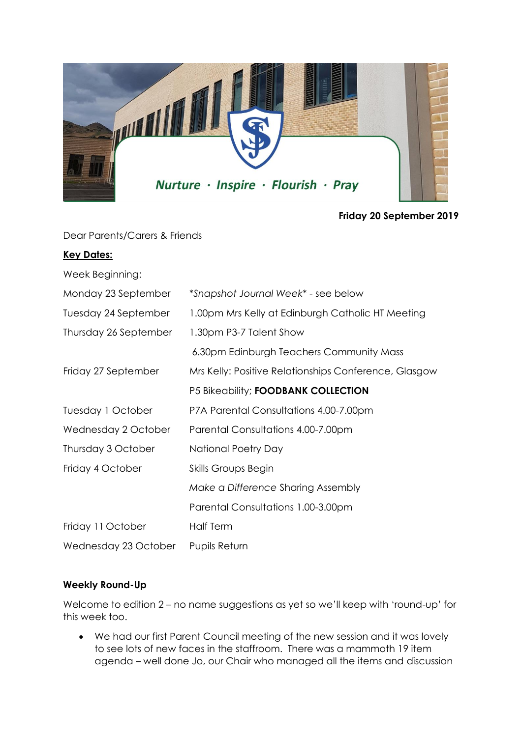

**Friday 20 September 2019**

Dear Parents/Carers & Friends

## **Key Dates:**

| Week Beginning: |  |
|-----------------|--|

| Monday 23 September   | *Snapshot Journal Week* - see below                   |
|-----------------------|-------------------------------------------------------|
| Tuesday 24 September  | 1.00pm Mrs Kelly at Edinburgh Catholic HT Meeting     |
| Thursday 26 September | 1.30pm P3-7 Talent Show                               |
|                       | 6.30pm Edinburgh Teachers Community Mass              |
| Friday 27 September   | Mrs Kelly: Positive Relationships Conference, Glasgow |
|                       | P5 Bikeability; FOODBANK COLLECTION                   |
| Tuesday 1 October     | P7A Parental Consultations 4.00-7.00pm                |
| Wednesday 2 October   | Parental Consultations 4.00-7.00pm                    |
| Thursday 3 October    | National Poetry Day                                   |
| Friday 4 October      | <b>Skills Groups Begin</b>                            |
|                       | Make a Difference Sharing Assembly                    |
|                       | Parental Consultations 1.00-3.00pm                    |
| Friday 11 October     | <b>Half Term</b>                                      |
| Wednesday 23 October  | <b>Pupils Return</b>                                  |

# **Weekly Round-Up**

Welcome to edition 2 – no name suggestions as yet so we'll keep with 'round-up' for this week too.

• We had our first Parent Council meeting of the new session and it was lovely to see lots of new faces in the staffroom. There was a mammoth 19 item agenda – well done Jo, our Chair who managed all the items and discussion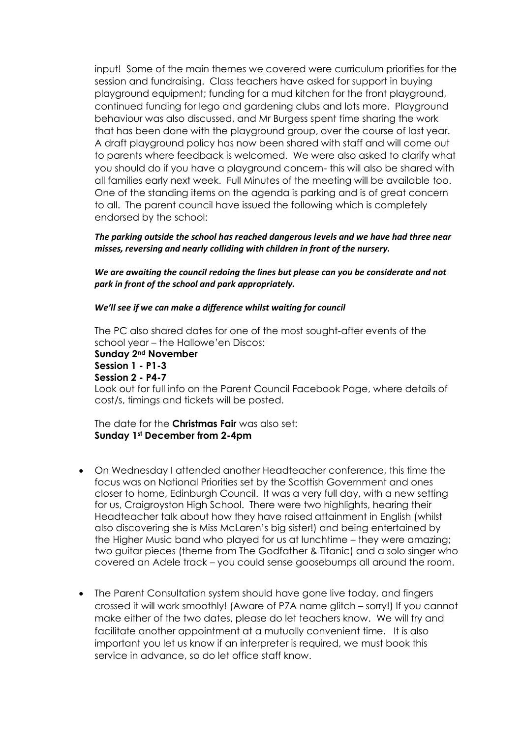input! Some of the main themes we covered were curriculum priorities for the session and fundraising. Class teachers have asked for support in buying playground equipment; funding for a mud kitchen for the front playground, continued funding for lego and gardening clubs and lots more. Playground behaviour was also discussed, and Mr Burgess spent time sharing the work that has been done with the playground group, over the course of last year. A draft playground policy has now been shared with staff and will come out to parents where feedback is welcomed. We were also asked to clarify what you should do if you have a playground concern- this will also be shared with all families early next week. Full Minutes of the meeting will be available too. One of the standing items on the agenda is parking and is of great concern to all. The parent council have issued the following which is completely endorsed by the school:

*The parking outside the school has reached dangerous levels and we have had three near misses, reversing and nearly colliding with children in front of the nursery.* 

*We are awaiting the council redoing the lines but please can you be considerate and not park in front of the school and park appropriately.*

#### *We'll see if we can make a difference whilst waiting for council*

The PC also shared dates for one of the most sought-after events of the school year – the Hallowe'en Discos:

**Sunday 2nd November Session 1 - P1-3 Session 2 - P4-7**  Look out for full info on the Parent Council Facebook Page, where details of cost/s, timings and tickets will be posted.

The date for the **Christmas Fair** was also set: **Sunday 1st December from 2-4pm**

- On Wednesday I attended another Headteacher conference, this time the focus was on National Priorities set by the Scottish Government and ones closer to home, Edinburgh Council. It was a very full day, with a new setting for us, Craigroyston High School. There were two highlights, hearing their Headteacher talk about how they have raised attainment in English (whilst also discovering she is Miss McLaren's big sister!) and being entertained by the Higher Music band who played for us at lunchtime – they were amazing; two guitar pieces (theme from The Godfather & Titanic) and a solo singer who covered an Adele track – you could sense goosebumps all around the room.
- The Parent Consultation system should have gone live today, and fingers crossed it will work smoothly! (Aware of P7A name glitch – sorry!) If you cannot make either of the two dates, please do let teachers know. We will try and facilitate another appointment at a mutually convenient time. It is also important you let us know if an interpreter is required, we must book this service in advance, so do let office staff know.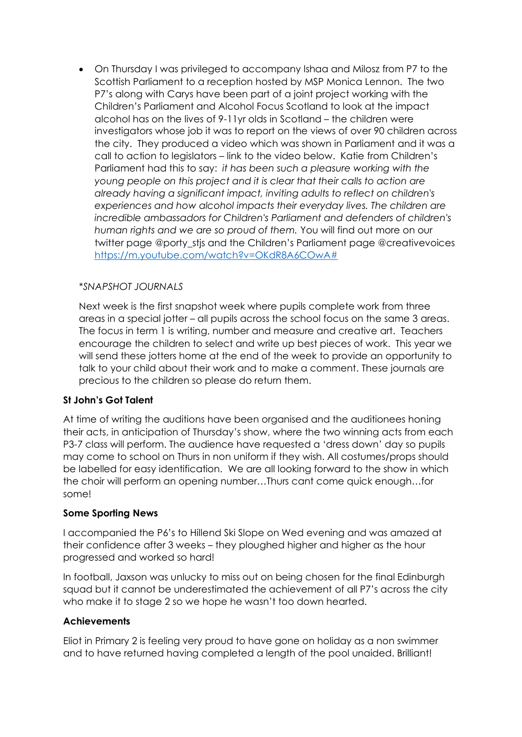• On Thursday I was privileged to accompany Ishaa and Milosz from P7 to the Scottish Parliament to a reception hosted by MSP Monica Lennon. The two P7's along with Carys have been part of a joint project working with the Children's Parliament and Alcohol Focus Scotland to look at the impact alcohol has on the lives of 9-11yr olds in Scotland – the children were investigators whose job it was to report on the views of over 90 children across the city. They produced a video which was shown in Parliament and it was a call to action to legislators – link to the video below. Katie from Children's Parliament had this to say: *it has been such a pleasure working with the young people on this project and it is clear that their calls to action are already having a significant impact, inviting adults to reflect on children's experiences and how alcohol impacts their everyday lives. The children are incredible ambassadors for Children's Parliament and defenders of children's human rights and we are so proud of them.* You will find out more on our twitter page @porty\_stjs and the Children's Parliament page @creativevoices [https://m.youtube.com/watch?v=OKdR8A6COwA#](https://m.youtube.com/watch?v=OKdR8A6COwA)

## *\*SNAPSHOT JOURNALS*

Next week is the first snapshot week where pupils complete work from three areas in a special jotter – all pupils across the school focus on the same 3 areas. The focus in term 1 is writing, number and measure and creative art. Teachers encourage the children to select and write up best pieces of work. This year we will send these jotters home at the end of the week to provide an opportunity to talk to your child about their work and to make a comment. These journals are precious to the children so please do return them.

# **St John's Got Talent**

At time of writing the auditions have been organised and the auditionees honing their acts, in anticipation of Thursday's show, where the two winning acts from each P3-7 class will perform. The audience have requested a 'dress down' day so pupils may come to school on Thurs in non uniform if they wish. All costumes/props should be labelled for easy identification. We are all looking forward to the show in which the choir will perform an opening number…Thurs cant come quick enough…for some!

## **Some Sporting News**

I accompanied the P6's to Hillend Ski Slope on Wed evening and was amazed at their confidence after 3 weeks – they ploughed higher and higher as the hour progressed and worked so hard!

In football, Jaxson was unlucky to miss out on being chosen for the final Edinburgh squad but it cannot be underestimated the achievement of all P7's across the city who make it to stage 2 so we hope he wasn't too down hearted.

## **Achievements**

Eliot in Primary 2 is feeling very proud to have gone on holiday as a non swimmer and to have returned having completed a length of the pool unaided. Brilliant!